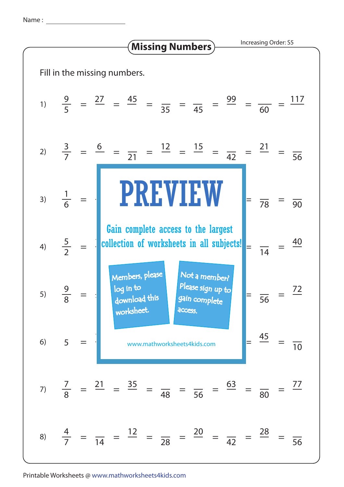Name :